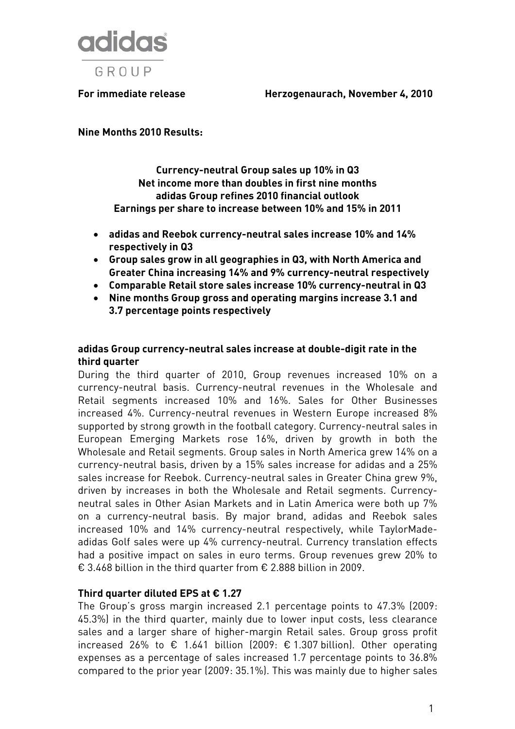

**For immediate release Herzogenaurach, November 4, 2010** 

**Nine Months 2010 Results:** 

**Currency-neutral Group sales up 10% in Q3 Net income more than doubles in first nine months adidas Group refines 2010 financial outlook Earnings per share to increase between 10% and 15% in 2011** 

- **adidas and Reebok currency-neutral sales increase 10% and 14% respectively in Q3**
- **Group sales grow in all geographies in Q3, with North America and Greater China increasing 14% and 9% currency-neutral respectively**
- **Comparable Retail store sales increase 10% currency-neutral in Q3**
- **Nine months Group gross and operating margins increase 3.1 and 3.7 percentage points respectively**

#### **adidas Group currency-neutral sales increase at double-digit rate in the third quarter**

During the third quarter of 2010, Group revenues increased 10% on a currency-neutral basis. Currency-neutral revenues in the Wholesale and Retail segments increased 10% and 16%. Sales for Other Businesses increased 4%. Currency-neutral revenues in Western Europe increased 8% supported by strong growth in the football category. Currency-neutral sales in European Emerging Markets rose 16%, driven by growth in both the Wholesale and Retail segments. Group sales in North America grew 14% on a currency-neutral basis, driven by a 15% sales increase for adidas and a 25% sales increase for Reebok. Currency-neutral sales in Greater China grew 9%, driven by increases in both the Wholesale and Retail segments. Currencyneutral sales in Other Asian Markets and in Latin America were both up 7% on a currency-neutral basis. By major brand, adidas and Reebok sales increased 10% and 14% currency-neutral respectively, while TaylorMadeadidas Golf sales were up 4% currency-neutral. Currency translation effects had a positive impact on sales in euro terms. Group revenues grew 20% to € 3.468 billion in the third quarter from € 2.888 billion in 2009.

#### **Third quarter diluted EPS at € 1.27**

The Group's gross margin increased 2.1 percentage points to 47.3% (2009: 45.3%) in the third quarter, mainly due to lower input costs, less clearance sales and a larger share of higher-margin Retail sales. Group gross profit increased 26% to € 1.641 billion (2009: € 1.307 billion). Other operating expenses as a percentage of sales increased 1.7 percentage points to 36.8% compared to the prior year (2009: 35.1%). This was mainly due to higher sales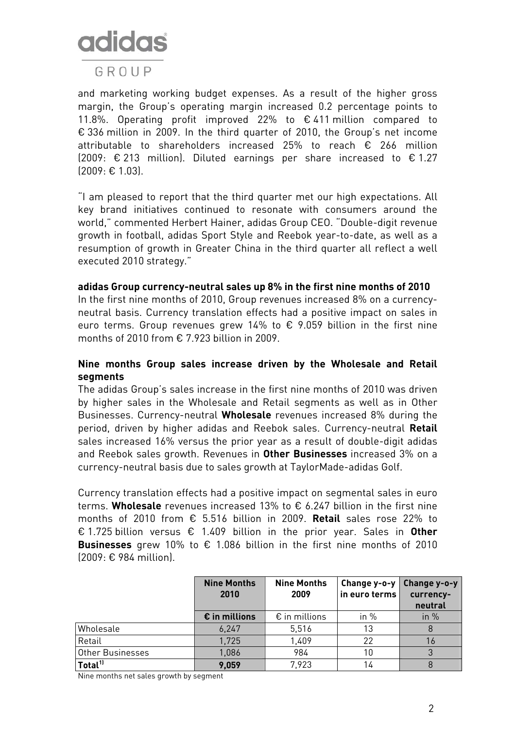

#### GROUP

and marketing working budget expenses. As a result of the higher gross margin, the Group's operating margin increased 0.2 percentage points to 11.8%. Operating profit improved 22% to € 411 million compared to € 336 million in 2009. In the third quarter of 2010, the Group's net income attributable to shareholders increased 25% to reach  $\epsilon$  266 million  $(2009: € 213 million)$ . Diluted earnings per share increased to €1.27 (2009: € 1.03).

"I am pleased to report that the third quarter met our high expectations. All key brand initiatives continued to resonate with consumers around the world," commented Herbert Hainer, adidas Group CEO. "Double-digit revenue growth in football, adidas Sport Style and Reebok year-to-date, as well as a resumption of growth in Greater China in the third quarter all reflect a well executed 2010 strategy."

#### **adidas Group currency-neutral sales up 8% in the first nine months of 2010**

In the first nine months of 2010, Group revenues increased 8% on a currencyneutral basis. Currency translation effects had a positive impact on sales in euro terms. Group revenues grew 14% to  $\epsilon$  9.059 billion in the first nine months of 2010 from € 7.923 billion in 2009.

#### **Nine months Group sales increase driven by the Wholesale and Retail segments**

The adidas Group's sales increase in the first nine months of 2010 was driven by higher sales in the Wholesale and Retail segments as well as in Other Businesses. Currency-neutral **Wholesale** revenues increased 8% during the period, driven by higher adidas and Reebok sales. Currency-neutral **Retail** sales increased 16% versus the prior year as a result of double-digit adidas and Reebok sales growth. Revenues in **Other Businesses** increased 3% on a currency-neutral basis due to sales growth at TaylorMade-adidas Golf.

Currency translation effects had a positive impact on segmental sales in euro terms. **Wholesale** revenues increased 13% to € 6.247 billion in the first nine months of 2010 from € 5.516 billion in 2009. **Retail** sales rose 22% to € 1.725 billion versus € 1.409 billion in the prior year. Sales in **Other Businesses** grew 10% to € 1.086 billion in the first nine months of 2010 (2009: € 984 million).

|                         | <b>Nine Months</b><br>2010 | <b>Nine Months</b><br>2009 | Change y-o-y<br>in euro terms | Change y-o-y<br>currency-<br>neutral |
|-------------------------|----------------------------|----------------------------|-------------------------------|--------------------------------------|
|                         | $\epsilon$ in millions     | $\epsilon$ in millions     | in $%$                        | in $%$                               |
| Wholesale               | 6,247                      | 5,516                      | 13                            |                                      |
| Retail                  | 1,725                      | 1,409                      | 22                            |                                      |
| <b>Other Businesses</b> | 1,086                      | 984                        | 10                            |                                      |
| Total <sup>11</sup>     | 9,059                      | 7,923                      | 14                            |                                      |

Nine months net sales growth by segment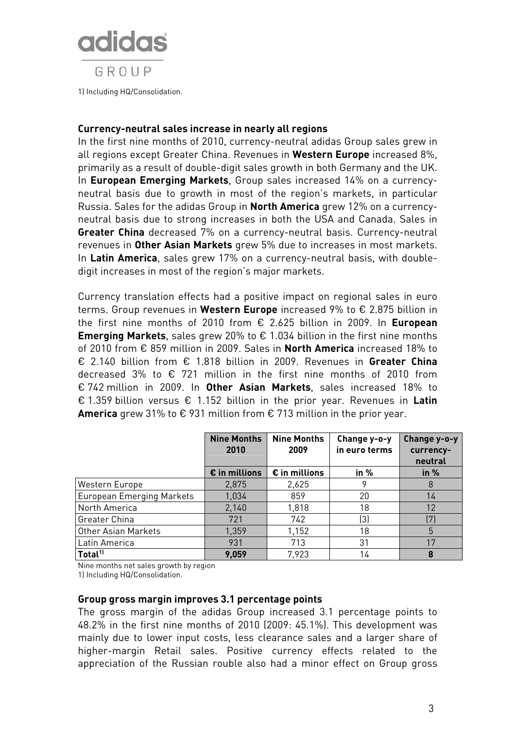

1) Including HQ/Consolidation.

#### **Currency-neutral sales increase in nearly all regions**

In the first nine months of 2010, currency-neutral adidas Group sales grew in all regions except Greater China. Revenues in **Western Europe** increased 8%, primarily as a result of double-digit sales growth in both Germany and the UK. In **European Emerging Markets**, Group sales increased 14% on a currencyneutral basis due to growth in most of the region's markets, in particular Russia. Sales for the adidas Group in **North America** grew 12% on a currencyneutral basis due to strong increases in both the USA and Canada. Sales in **Greater China** decreased 7% on a currency-neutral basis. Currency-neutral revenues in **Other Asian Markets** grew 5% due to increases in most markets. In **Latin America**, sales grew 17% on a currency-neutral basis, with doubledigit increases in most of the region's major markets.

Currency translation effects had a positive impact on regional sales in euro terms. Group revenues in **Western Europe** increased 9% to € 2.875 billion in the first nine months of 2010 from € 2.625 billion in 2009. In **European Emerging Markets**, sales grew 20% to € 1.034 billion in the first nine months of 2010 from € 859 million in 2009. Sales in **North America** increased 18% to € 2.140 billion from € 1.818 billion in 2009. Revenues in **Greater China** decreased 3% to € 721 million in the first nine months of 2010 from € 742 million in 2009. In **Other Asian Markets**, sales increased 18% to € 1.359 billion versus € 1.152 billion in the prior year. Revenues in **Latin America** grew 31% to € 931 million from € 713 million in the prior year.

|                                  | <b>Nine Months</b><br>2010 | <b>Nine Months</b><br>2009 | Change y-o-y<br>in euro terms | Change y-o-y<br>currency-<br>neutral |
|----------------------------------|----------------------------|----------------------------|-------------------------------|--------------------------------------|
|                                  | $\epsilon$ in millions     | $\epsilon$ in millions     | in %                          | in %                                 |
| Western Europe                   | 2,875                      | 2,625                      | 9                             | 8                                    |
| <b>European Emerging Markets</b> | 1,034                      | 859                        | 20                            | 14                                   |
| North America                    | 2,140                      | 1,818                      | 18                            | 12                                   |
| Greater China                    | 721                        | 742                        | (3)                           | (7)                                  |
| Other Asian Markets              | 1,359                      | 1,152                      | 18                            | 5                                    |
| Latin America                    | 931                        | 713                        | 31                            | 17                                   |
| Total <sup>11</sup>              | 9,059                      | 7,923                      | 14                            | 8                                    |

Nine months net sales growth by region

1) Including HQ/Consolidation.

#### **Group gross margin improves 3.1 percentage points**

The gross margin of the adidas Group increased 3.1 percentage points to 48.2% in the first nine months of 2010 (2009: 45.1%). This development was mainly due to lower input costs, less clearance sales and a larger share of higher-margin Retail sales. Positive currency effects related to the appreciation of the Russian rouble also had a minor effect on Group gross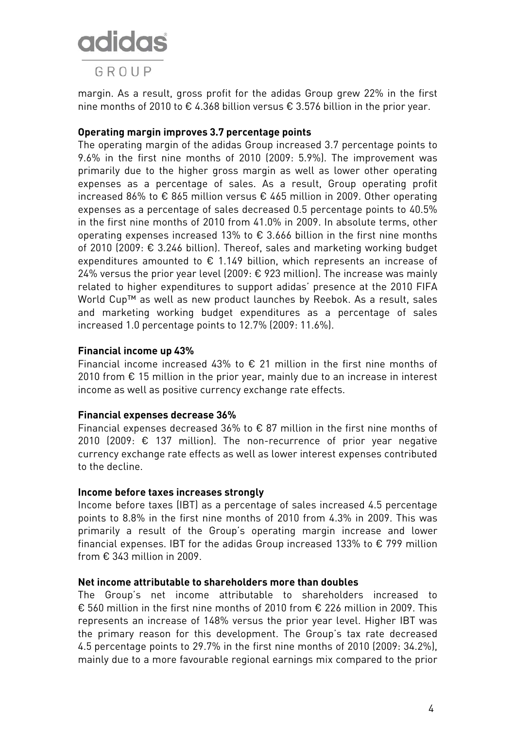

margin. As a result, gross profit for the adidas Group grew 22% in the first nine months of 2010 to  $\epsilon$  4.368 billion versus  $\epsilon$  3.576 billion in the prior year.

#### **Operating margin improves 3.7 percentage points**

The operating margin of the adidas Group increased 3.7 percentage points to 9.6% in the first nine months of 2010 (2009: 5.9%). The improvement was primarily due to the higher gross margin as well as lower other operating expenses as a percentage of sales. As a result, Group operating profit increased 86% to € 865 million versus € 465 million in 2009. Other operating expenses as a percentage of sales decreased 0.5 percentage points to 40.5% in the first nine months of 2010 from 41.0% in 2009. In absolute terms, other operating expenses increased 13% to  $\epsilon$  3.666 billion in the first nine months of 2010 (2009: € 3.246 billion). Thereof, sales and marketing working budget expenditures amounted to  $\epsilon$  1.149 billion, which represents an increase of 24% versus the prior year level (2009:  $\epsilon$  923 million). The increase was mainly related to higher expenditures to support adidas' presence at the 2010 FIFA World Cup™ as well as new product launches by Reebok. As a result, sales and marketing working budget expenditures as a percentage of sales increased 1.0 percentage points to 12.7% (2009: 11.6%).

#### **Financial income up 43%**

Financial income increased 43% to  $\epsilon$  21 million in the first nine months of 2010 from  $\epsilon$  15 million in the prior year, mainly due to an increase in interest income as well as positive currency exchange rate effects.

#### **Financial expenses decrease 36%**

Financial expenses decreased 36% to  $\epsilon$  87 million in the first nine months of 2010 (2009:  $\epsilon$  137 million). The non-recurrence of prior year negative currency exchange rate effects as well as lower interest expenses contributed to the decline.

#### **Income before taxes increases strongly**

Income before taxes (IBT) as a percentage of sales increased 4.5 percentage points to 8.8% in the first nine months of 2010 from 4.3% in 2009. This was primarily a result of the Group's operating margin increase and lower financial expenses. IBT for the adidas Group increased 133% to  $\epsilon$  799 million from  $\epsilon$  343 million in 2009.

#### **Net income attributable to shareholders more than doubles**

The Group's net income attributable to shareholders increased to € 560 million in the first nine months of 2010 from € 226 million in 2009. This represents an increase of 148% versus the prior year level. Higher IBT was the primary reason for this development. The Group's tax rate decreased 4.5 percentage points to 29.7% in the first nine months of 2010 (2009: 34.2%), mainly due to a more favourable regional earnings mix compared to the prior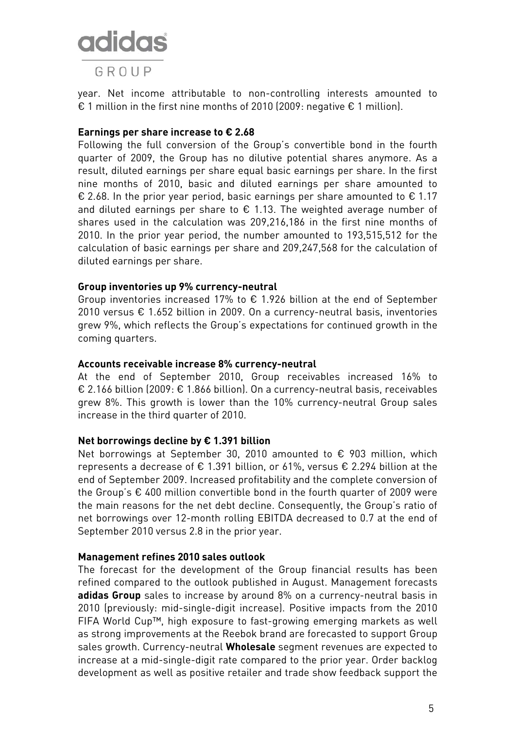### **adidas** GROUP

year. Net income attributable to non-controlling interests amounted to € 1 million in the first nine months of 2010 (2009: negative  $\epsilon$  1 million).

#### **Earnings per share increase to € 2.68**

Following the full conversion of the Group's convertible bond in the fourth quarter of 2009, the Group has no dilutive potential shares anymore. As a result, diluted earnings per share equal basic earnings per share. In the first nine months of 2010, basic and diluted earnings per share amounted to € 2.68. In the prior year period, basic earnings per share amounted to  $\epsilon$  1.17 and diluted earnings per share to  $\epsilon$  1.13. The weighted average number of shares used in the calculation was 209,216,186 in the first nine months of 2010. In the prior year period, the number amounted to 193,515,512 for the calculation of basic earnings per share and 209,247,568 for the calculation of diluted earnings per share.

#### **Group inventories up 9% currency-neutral**

Group inventories increased 17% to € 1.926 billion at the end of September 2010 versus € 1.652 billion in 2009. On a currency-neutral basis, inventories grew 9%, which reflects the Group's expectations for continued growth in the coming quarters.

#### **Accounts receivable increase 8% currency-neutral**

At the end of September 2010, Group receivables increased 16% to € 2.166 billion (2009: € 1.866 billion). On a currency-neutral basis, receivables grew 8%. This growth is lower than the 10% currency-neutral Group sales increase in the third quarter of 2010.

#### **Net borrowings decline by € 1.391 billion**

Net borrowings at September 30, 2010 amounted to  $\epsilon$  903 million, which represents a decrease of  $\epsilon$  1.391 billion, or 61%, versus  $\epsilon$  2.294 billion at the end of September 2009. Increased profitability and the complete conversion of the Group's  $\epsilon$  400 million convertible bond in the fourth quarter of 2009 were the main reasons for the net debt decline. Consequently, the Group's ratio of net borrowings over 12-month rolling EBITDA decreased to 0.7 at the end of September 2010 versus 2.8 in the prior year.

#### **Management refines 2010 sales outlook**

The forecast for the development of the Group financial results has been refined compared to the outlook published in August. Management forecasts **adidas Group** sales to increase by around 8% on a currency-neutral basis in 2010 (previously: mid-single-digit increase). Positive impacts from the 2010 FIFA World Cup™, high exposure to fast-growing emerging markets as well as strong improvements at the Reebok brand are forecasted to support Group sales growth. Currency-neutral **Wholesale** segment revenues are expected to increase at a mid-single-digit rate compared to the prior year. Order backlog development as well as positive retailer and trade show feedback support the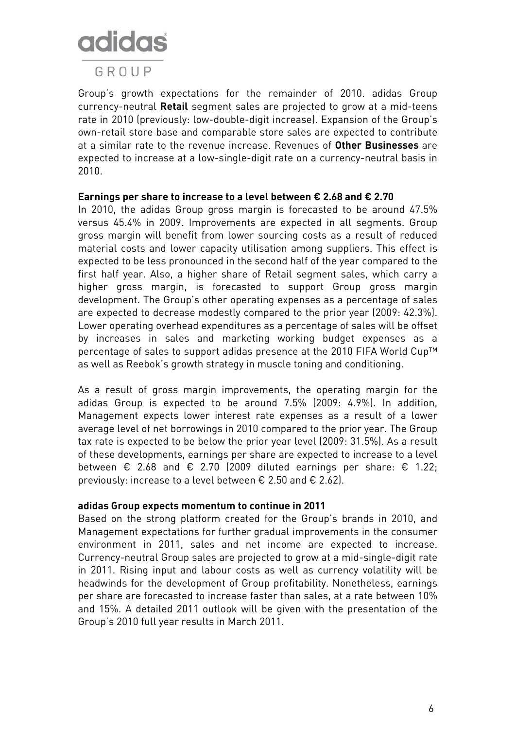## **adidas**

#### GROUP

Group's growth expectations for the remainder of 2010. adidas Group currency-neutral **Retail** segment sales are projected to grow at a mid-teens rate in 2010 (previously: low-double-digit increase). Expansion of the Group's own-retail store base and comparable store sales are expected to contribute at a similar rate to the revenue increase. Revenues of **Other Businesses** are expected to increase at a low-single-digit rate on a currency-neutral basis in 2010.

#### **Earnings per share to increase to a level between € 2.68 and € 2.70**

In 2010, the adidas Group gross margin is forecasted to be around 47.5% versus 45.4% in 2009. Improvements are expected in all segments. Group gross margin will benefit from lower sourcing costs as a result of reduced material costs and lower capacity utilisation among suppliers. This effect is expected to be less pronounced in the second half of the year compared to the first half year. Also, a higher share of Retail segment sales, which carry a higher gross margin, is forecasted to support Group gross margin development. The Group's other operating expenses as a percentage of sales are expected to decrease modestly compared to the prior year (2009: 42.3%). Lower operating overhead expenditures as a percentage of sales will be offset by increases in sales and marketing working budget expenses as a percentage of sales to support adidas presence at the 2010 FIFA World Cup™ as well as Reebok's growth strategy in muscle toning and conditioning.

As a result of gross margin improvements, the operating margin for the adidas Group is expected to be around 7.5% (2009: 4.9%). In addition, Management expects lower interest rate expenses as a result of a lower average level of net borrowings in 2010 compared to the prior year. The Group tax rate is expected to be below the prior year level (2009: 31.5%). As a result of these developments, earnings per share are expected to increase to a level between  $\epsilon$  2.68 and  $\epsilon$  2.70 (2009 diluted earnings per share:  $\epsilon$  1.22; previously: increase to a level between € 2.50 and € 2.62).

#### **adidas Group expects momentum to continue in 2011**

Based on the strong platform created for the Group's brands in 2010, and Management expectations for further gradual improvements in the consumer environment in 2011, sales and net income are expected to increase. Currency-neutral Group sales are projected to grow at a mid-single-digit rate in 2011. Rising input and labour costs as well as currency volatility will be headwinds for the development of Group profitability. Nonetheless, earnings per share are forecasted to increase faster than sales, at a rate between 10% and 15%. A detailed 2011 outlook will be given with the presentation of the Group's 2010 full year results in March 2011.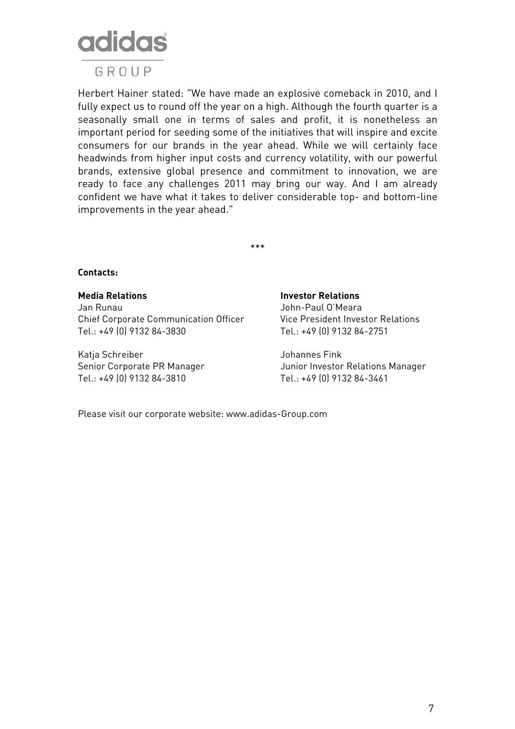

#### GROUP

Herbert Hainer stated: "We have made an explosive comeback in 2010, and I fully expect us to round off the year on a high. Although the fourth quarter is a seasonally small one in terms of sales and profit, it is nonetheless an important period for seeding some of the initiatives that will inspire and excite consumers for our brands in the year ahead. While we will certainly face headwinds from higher input costs and currency volatility, with our powerful brands, extensive global presence and commitment to innovation, we are ready to face any challenges 2011 may bring our way. And I am already confident we have what it takes to deliver considerable top- and bottom-line improvements in the year ahead."

\*\*\*

#### **Contacts:**

**Media Relations Investor Relations**  Jan Runau John-Paul O'Meara Chief Corporate Communication Officer Vice President Investor Relations Tel.: +49 (0) 9132 84-3830 Tel.: +49 (0) 9132 84-2751

Katja Schreiber 1988 ble Schreiber 1988 ble Johannes Fink Tel.: +49 (0) 9132 84-3810 Tel.: +49 (0) 9132 84-3461

Senior Corporate PR Manager Junior Investor Relations Manager

Please visit our corporate website: www.adidas-Group.com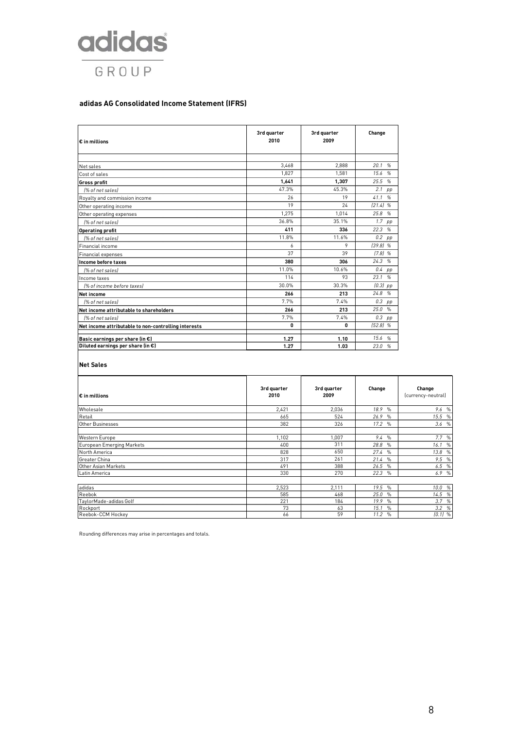

#### **adidas AG Consolidated Income Statement (IFRS)**

| $\mathop{\varepsilon}\nolimits$ in millions          | 3rd quarter<br>2010 | 3rd quarter<br>2009 | Change                |  |
|------------------------------------------------------|---------------------|---------------------|-----------------------|--|
|                                                      |                     |                     |                       |  |
| Net sales                                            | 3.468               | 2.888               | 20.1<br>%             |  |
| Cost of sales                                        | 1.827               | 1.581               | 15.6%                 |  |
| <b>Gross profit</b>                                  | 1,641               | 1,307               | 25.5 %                |  |
| [% of net sales]                                     | 47.3%               | 45.3%               | $2.1$ pp              |  |
| Royalty and commission income                        | 26                  | 19                  | 41.1<br>$\frac{a}{2}$ |  |
| Other operating income                               | 19                  | 24                  | [21.4]%               |  |
| Other operating expenses                             | 1.275               | 1.014               | 25.8 %                |  |
| 1% of net sales)                                     | 36.8%               | 35.1%               | $1.7$ pp              |  |
| <b>Operating profit</b>                              | 411                 | 336                 | 22.3%                 |  |
| 1% of net sales)                                     | 11.8%               | 11.6%               | $0.2$ pp              |  |
| Financial income                                     | 6                   | 9                   | $[39.8]$ %            |  |
| Financial expenses                                   | 37                  | 39                  | [7.8]%                |  |
| Income before taxes                                  | 380                 | 306                 | 24.3<br>$\frac{a}{2}$ |  |
| [% of net sales]                                     | 11.0%               | 10.6%               | $0.4$ pp              |  |
| Income taxes                                         | 114                 | 93                  | 23.1 %                |  |
| I% of income before taxes)                           | 30.0%               | 30.3%               | $(0.3)$ pp            |  |
| Net income                                           | 266                 | 213                 | 24.8 %                |  |
| [% of net sales]                                     | 7.7%                | 7.4%                | $0.3$ pp              |  |
| Net income attributable to shareholders              | 266                 | 213                 | 25.0%                 |  |
| [% of net sales]                                     | 7.7%                | 7.4%                | $0.3$ pp              |  |
| Net income attributable to non-controlling interests | 0                   | 0                   | $(52.8)$ %            |  |
| Basic earnings per share (in €)                      | 1.27                | 1.10                | 15.6 %                |  |
| Diluted earnings per share (in €)                    | 1.27                | 1.03                | 23.0<br>%             |  |

#### **Net Sales**

| $\varepsilon$ in millions        | 3rd quarter<br>2010 | 3rd quarter<br>2009 | Change                | Change<br>(currency-neutral) |
|----------------------------------|---------------------|---------------------|-----------------------|------------------------------|
| Wholesale                        | 2,421               | 2,036               | 18.9 %                | 9.6%                         |
| Retail                           | 665                 | 524                 | 26.9%                 | 15.5%                        |
| Other Businesses                 | 382                 | 326                 | 17.2 %                | 3.6%                         |
| Western Europe                   | 1,102               | 1,007               | 9.4%                  | 7.7 %                        |
| <b>European Emerging Markets</b> | 400                 | 311                 | 28.8 %                | 16.1<br>$\%$                 |
| North America                    | 828                 | 650                 | 27.4 %                | 13.8 %                       |
| Greater China                    | 317                 | 261                 | 21.4 %                | 9.5<br>$\%$                  |
| Other Asian Markets              | 491                 | 388                 | 26.5 %                | 6.5%                         |
| Latin America                    | 330                 | 270                 | 22.3%                 | 6.9%                         |
|                                  |                     |                     |                       |                              |
| adidas                           | 2,523               | 2,111               | 19.5 %                | 10.0%                        |
| Reebok                           | 585                 | 468                 | 25.0<br>$\frac{1}{2}$ | 14.5 %                       |
| TaylorMade-adidas Golf           | 221                 | 184                 | 19.9 %                | 3.7%                         |
| Rockport                         | 73                  | 63                  | 15.1 %                | 3.2%                         |
| Reebok-CCM Hockey                | 66                  | 59                  | 11.2 %                | $(0.1)$ %                    |

Rounding differences may arise in percentages and totals.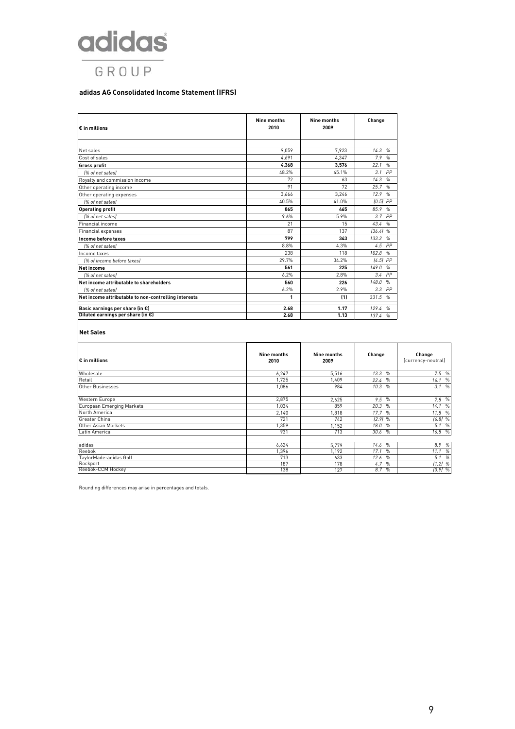

#### **adidas AG Consolidated Income Statement (IFRS)**

| $\varepsilon$ in millions                            | Nine months<br>2010 | Nine months<br>2009 | Change                 |  |
|------------------------------------------------------|---------------------|---------------------|------------------------|--|
|                                                      |                     |                     |                        |  |
| Net sales                                            | 9.059               | 7,923               | 14.3%                  |  |
| Cost of sales                                        | 4.691               | 4,347               | 7.9<br>%               |  |
| <b>Gross profit</b>                                  | 4,368               | 3,576               | $\frac{q}{q}$<br>22.1  |  |
| [% of net sales]                                     | 48.2%               | 45.1%               | PP<br>3.1              |  |
| Royalty and commission income                        | 72                  | 63                  | 14.3<br>$\frac{a}{b}$  |  |
| Other operating income                               | 91                  | 72                  | 25.7<br>$\frac{a}{2}$  |  |
| Other operating expenses                             | 3.666               | 3.246               | 12.9%                  |  |
| [% of net sales]                                     | 40.5%               | 41.0%               | $[0.5]$ PP             |  |
| <b>Operating profit</b>                              | 865                 | 465                 | 85.9 %                 |  |
| [% of net sales]                                     | 9.6%                | 5.9%                | $3.7$ PP               |  |
| Financial income                                     | 21                  | 15                  | 43.4 %                 |  |
| Financial expenses                                   | 87                  | 137                 | [36.4]%                |  |
| Income before taxes                                  | 799                 | 343                 | 133.2 %                |  |
| 1% of net sales)                                     | 8.8%                | 4.3%                | 4.5 PP                 |  |
| Income taxes                                         | 238                 | 118                 | 102.8<br>$\frac{a}{2}$ |  |
| [% of income before taxes]                           | 29.7%               | 34.2%               | $(4.5)$ PP             |  |
| Net income                                           | 561                 | 225                 | 149.0%                 |  |
| [% of net sales]                                     | 6.2%                | 2.8%                | 3.4 PP                 |  |
| Net income attributable to shareholders              | 560                 | 226                 | 148.0 %                |  |
| /% of net sales)                                     | 6.2%                | 2.9%                | 3.3 PP                 |  |
| Net income attributable to non-controlling interests | 1                   | (1)                 | 331.5 %                |  |
| Basic earnings per share (in €)                      | 2.68                | 1.17                | 129.4 %                |  |
| Diluted earnings per share (in €)                    | 2.68                | 1.13                | %<br>137.4             |  |

#### **Net Sales**

| $\bm{\varepsilon}$ in millions | Nine months<br>2010 | Nine months<br>2009 | Change       | Change<br>(currency-neutral) |
|--------------------------------|---------------------|---------------------|--------------|------------------------------|
| Wholesale                      | 6,247               | 5,516               | 13.3 %       | 7.5%                         |
| Retail                         | 1.725               | 1,409               | 22.4<br>%    | 16.1 %                       |
| Other Businesses               | 1,086               | 984                 | 10.3%        | 3.1%                         |
| Western Europe                 | 2,875               | 2,625               | 9.5%         | 7.8 %                        |
| European Emerging Markets      | 1,034               | 859                 | 20.3%        | 14.1 %                       |
| North America                  | 2,140               | 1,818               | 17.7 %       | 11.8%                        |
| Greater China                  | 721                 | 742                 | $(2.9)$ %    | $(6.8)$ %                    |
| Other Asian Markets            | 1,359               | 1,152               | 18.0%        | 5.1 %                        |
| Latin America                  | 931                 | 713                 | 30.6 %       | 16.8%                        |
| adidas                         | 6,624               | 5,779               | 14.6<br>%    | 8.9 %                        |
| Reebok                         | 1,396               | 1.192               | 17.1<br>$\%$ | 11.1%                        |
| TaylorMade-adidas Golf         | 713                 | 633                 | %<br>12.6    | 5.1 %                        |
| Rockport                       | 187                 | 178                 | 4.7%         | $(1.2)$ %                    |
| Reebok-CCM Hockey              | 138                 | 127                 | %<br>8.7     | $(0.9)$ %                    |

Rounding differences may arise in percentages and totals.